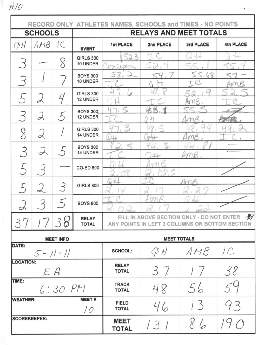$#10$ 

|                                       |      |                  |                                    | RECORD ONLY ATHLETES NAMES, SCHOOLS and TIMES - NO POINTS                                       |              |                    |           |  |
|---------------------------------------|------|------------------|------------------------------------|-------------------------------------------------------------------------------------------------|--------------|--------------------|-----------|--|
| <b>SCHOOLS</b>                        |      |                  |                                    | <b>RELAYS AND MEET TOTALS</b>                                                                   |              |                    |           |  |
| $Q$ H                                 | AMB  | I C              | <b>EVENT</b>                       | 1st PLACE                                                                                       | 2nd PLACE    | 3rd PLACE          | 4th PLACE |  |
|                                       |      | Q                | <b>GIRLS 300</b><br>10 UNDER       | 2<br>cept                                                                                       |              |                    |           |  |
|                                       |      |                  | <b>BOYS 300</b><br>10 UNDER        | 53<br>$\Rightarrow$                                                                             |              | 5.68               |           |  |
|                                       |      |                  | <b>GIRLS 300</b><br>12 UNDER       |                                                                                                 |              | nk<br>KY           |           |  |
|                                       | А    | $\rightarrow$    | <b>BOYS 300</b><br><b>12 UNDER</b> |                                                                                                 |              |                    |           |  |
| 8                                     | 乄    |                  | <b>GIRLS 300</b><br>14 UNDER       | Š                                                                                               |              |                    |           |  |
| 3                                     | I    |                  | <b>BOYS 300</b><br>14 UNDER        |                                                                                                 | S            |                    |           |  |
|                                       |      |                  | <b>CO-ED 800</b>                   |                                                                                                 | R            |                    |           |  |
|                                       |      | 3                | <b>GIRLS 800</b>                   |                                                                                                 |              |                    |           |  |
| 乄                                     |      |                  | <b>BOYS 800</b>                    |                                                                                                 |              |                    |           |  |
| 37                                    | 1738 |                  | <b>RELAY</b><br><b>TOTAL</b>       | FILL IN ABOVE SECTION ONLY - DO NOT ENTER $+$<br>ANY POINTS IN LEFT 3 COLUMNS OR BOTTOM SECTION |              |                    |           |  |
|                                       |      | <b>MEET INFO</b> |                                    |                                                                                                 |              | <b>MEET TOTALS</b> |           |  |
| DATE:<br>$5 - 11 - 11$                |      |                  |                                    | <b>SCHOOL:</b>                                                                                  | ${\cal Q}$ H | AMB                | /C        |  |
| <b>LOCATION:</b><br>$E$ $A$           |      |                  |                                    | <b>RELAY</b><br><b>TOTAL</b>                                                                    | 37           | 17                 | 38        |  |
| TIME:<br>6:30PM                       |      |                  |                                    | <b>TRACK</b><br><b>TOTAL</b>                                                                    | 48           | 56                 |           |  |
| <b>MEET#</b><br><b>WEATHER:</b><br>10 |      |                  |                                    | <b>FIELD</b><br><b>TOTAL</b>                                                                    | 46           | 13                 | 93        |  |
| <b>SCOREKEEPER:</b>                   |      |                  |                                    | <b>MEET</b><br><b>TOTAL</b>                                                                     | 131          |                    | $\bigcap$ |  |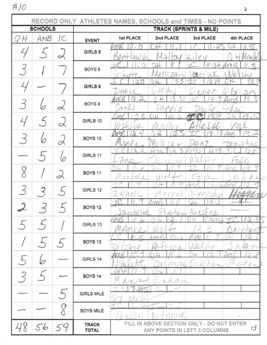$\#/O$ 

| <b>SCHOOLS</b> |     |          | <b>TRACK (SPRINTS &amp; MILE)</b>                                                                                                                                                                                                                                                                                                                                                                                                        |                                                         |  |  |  |  |
|----------------|-----|----------|------------------------------------------------------------------------------------------------------------------------------------------------------------------------------------------------------------------------------------------------------------------------------------------------------------------------------------------------------------------------------------------------------------------------------------------|---------------------------------------------------------|--|--|--|--|
| QН             | AMB | C        |                                                                                                                                                                                                                                                                                                                                                                                                                                          | <b>1st PLACE</b><br>2nd PLACE<br>3rd PLACE<br>4th PLACE |  |  |  |  |
|                |     |          |                                                                                                                                                                                                                                                                                                                                                                                                                                          | 1 d                                                     |  |  |  |  |
|                |     |          |                                                                                                                                                                                                                                                                                                                                                                                                                                          | ã                                                       |  |  |  |  |
|                |     |          |                                                                                                                                                                                                                                                                                                                                                                                                                                          | $-36$                                                   |  |  |  |  |
|                |     |          |                                                                                                                                                                                                                                                                                                                                                                                                                                          | G.<br>Þ                                                 |  |  |  |  |
|                |     |          | GIRLS 9                                                                                                                                                                                                                                                                                                                                                                                                                                  |                                                         |  |  |  |  |
|                |     |          |                                                                                                                                                                                                                                                                                                                                                                                                                                          |                                                         |  |  |  |  |
|                |     |          | BOYS <sub>9</sub>                                                                                                                                                                                                                                                                                                                                                                                                                        |                                                         |  |  |  |  |
|                |     |          |                                                                                                                                                                                                                                                                                                                                                                                                                                          |                                                         |  |  |  |  |
|                |     | $\alpha$ | RECORD ONLY ATHLETES NAMES, SCHOOLS and TIMES - NO POINTS<br><b>EVENT</b><br>GIRLS 8<br><b>BOYS 8</b><br>Ao.<br>U<br>ands<br>) 3 P<br>$\mathcal{O}$<br>fict is<br>GIRLS 10<br>BOYS 10<br>GIRLS 11<br>ano<br><b>BOYS 11</b><br>GIRLS 12<br>U<br><b>BOYS 12</b><br>F<br>er s<br>直送さ<br>eeran Kreskca<br>$2\cos 2a$<br>2<br>GIRLS 13<br>BOYS <sub>13</sub><br>GIRLS 14<br>Greenan<br>22<br>MAT NO.<br>BOYS 14<br>Guhan<br><b>GIRLS MILE</b> |                                                         |  |  |  |  |
|                |     |          |                                                                                                                                                                                                                                                                                                                                                                                                                                          |                                                         |  |  |  |  |
|                | 6   | 2        |                                                                                                                                                                                                                                                                                                                                                                                                                                          |                                                         |  |  |  |  |
|                |     |          |                                                                                                                                                                                                                                                                                                                                                                                                                                          |                                                         |  |  |  |  |
|                |     |          |                                                                                                                                                                                                                                                                                                                                                                                                                                          |                                                         |  |  |  |  |
| Q              |     |          |                                                                                                                                                                                                                                                                                                                                                                                                                                          |                                                         |  |  |  |  |
|                |     | 2        |                                                                                                                                                                                                                                                                                                                                                                                                                                          |                                                         |  |  |  |  |
|                |     |          |                                                                                                                                                                                                                                                                                                                                                                                                                                          |                                                         |  |  |  |  |
|                |     |          |                                                                                                                                                                                                                                                                                                                                                                                                                                          |                                                         |  |  |  |  |
|                |     |          |                                                                                                                                                                                                                                                                                                                                                                                                                                          |                                                         |  |  |  |  |
|                |     |          |                                                                                                                                                                                                                                                                                                                                                                                                                                          |                                                         |  |  |  |  |
|                |     |          |                                                                                                                                                                                                                                                                                                                                                                                                                                          |                                                         |  |  |  |  |
|                |     |          |                                                                                                                                                                                                                                                                                                                                                                                                                                          |                                                         |  |  |  |  |
|                |     |          |                                                                                                                                                                                                                                                                                                                                                                                                                                          |                                                         |  |  |  |  |
|                |     |          |                                                                                                                                                                                                                                                                                                                                                                                                                                          |                                                         |  |  |  |  |
|                |     |          |                                                                                                                                                                                                                                                                                                                                                                                                                                          |                                                         |  |  |  |  |
|                |     |          |                                                                                                                                                                                                                                                                                                                                                                                                                                          | 'a<br>7Î<br>$11 + 13012$<br>40 A A<br>¥                 |  |  |  |  |
|                |     |          |                                                                                                                                                                                                                                                                                                                                                                                                                                          |                                                         |  |  |  |  |
|                |     |          |                                                                                                                                                                                                                                                                                                                                                                                                                                          |                                                         |  |  |  |  |
|                |     |          |                                                                                                                                                                                                                                                                                                                                                                                                                                          |                                                         |  |  |  |  |
|                |     |          | <b>BOYS MILE</b>                                                                                                                                                                                                                                                                                                                                                                                                                         |                                                         |  |  |  |  |
|                |     |          |                                                                                                                                                                                                                                                                                                                                                                                                                                          |                                                         |  |  |  |  |
|                | 56  | 59       | <b>TRACK</b>                                                                                                                                                                                                                                                                                                                                                                                                                             | FILL IN ABOVE SECTION ONLY - DO NOT ENTER<br>13         |  |  |  |  |
|                |     |          | <b>TOTAL</b>                                                                                                                                                                                                                                                                                                                                                                                                                             | ANY POINTS IN LEFT 3 COLUMNS                            |  |  |  |  |